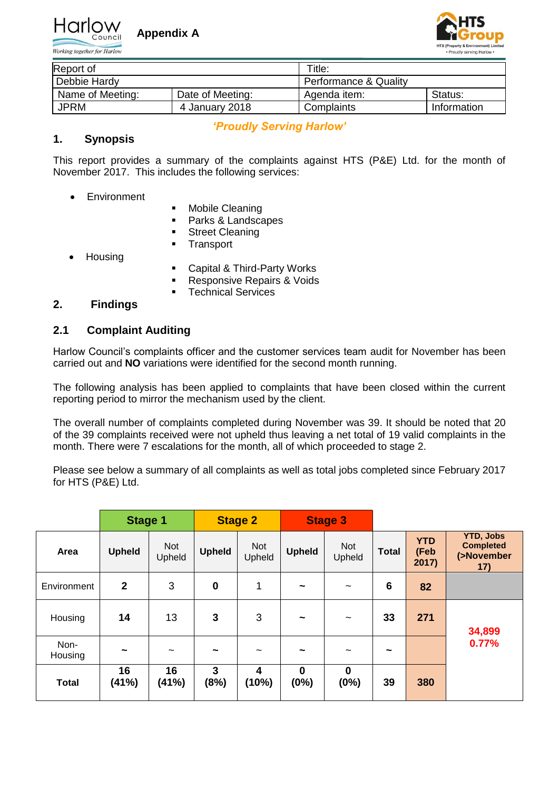

Working together for Harlow



| Report of        |                  | Title:                |             |  |  |  |  |  |
|------------------|------------------|-----------------------|-------------|--|--|--|--|--|
| Debbie Hardy     |                  | Performance & Quality |             |  |  |  |  |  |
| Name of Meeting: | Date of Meeting: | Agenda item:          | Status:     |  |  |  |  |  |
| <b>JPRM</b>      | 4 January 2018   | Complaints            | Information |  |  |  |  |  |

# *'Proudly Serving Harlow'*

## **1. Synopsis**

This report provides a summary of the complaints against HTS (P&E) Ltd. for the month of November 2017. This includes the following services:

- Environment
- **-** Mobile Cleaning
- **Parks & Landscapes**
- **Street Cleaning**
- **Transport**
- Housing
- Capital & Third-Party Works
- **Responsive Repairs & Voids**
- **Technical Services**

## **2. Findings**

## **2.1 Complaint Auditing**

Harlow Council's complaints officer and the customer services team audit for November has been carried out and **NO** variations were identified for the second month running.

The following analysis has been applied to complaints that have been closed within the current reporting period to mirror the mechanism used by the client.

The overall number of complaints completed during November was 39. It should be noted that 20 of the 39 complaints received were not upheld thus leaving a net total of 19 valid complaints in the month. There were 7 escalations for the month, all of which proceeded to stage 2.

Please see below a summary of all complaints as well as total jobs completed since February 2017 for HTS (P&E) Ltd.

|                 | <b>Stage 1</b> |                       |                  | <b>Stage 2</b>                   |                     | <b>Stage 3</b>            |                 |                             |                                                           |
|-----------------|----------------|-----------------------|------------------|----------------------------------|---------------------|---------------------------|-----------------|-----------------------------|-----------------------------------------------------------|
| Area            | <b>Upheld</b>  | <b>Not</b><br>Upheld  | <b>Upheld</b>    | Not<br>Upheld                    | <b>Upheld</b>       | <b>Not</b><br>Upheld      | <b>Total</b>    | <b>YTD</b><br>(Feb<br>2017) | <b>YTD, Jobs</b><br><b>Completed</b><br>(>November<br>17) |
| Environment     | $\overline{2}$ | 3                     | $\boldsymbol{0}$ | 1                                | $\tilde{}$          | $\tilde{}$                | $6\phantom{1}6$ | 82                          |                                                           |
| Housing         | 14             | 13                    | 3                | 3                                | $\tilde{}$          | $\widetilde{\phantom{m}}$ | 33              | 271                         | 34,899                                                    |
| Non-<br>Housing | $\tilde{}$     | $\tilde{\phantom{a}}$ | $\tilde{}$       | $\tilde{}$                       | $\tilde{}$          | $\tilde{\phantom{a}}$     | $\tilde{}$      |                             | 0.77%                                                     |
| <b>Total</b>    | 16<br>(41%)    | 16<br>(41%)           | 3<br>(8%)        | $\overline{\mathbf{4}}$<br>(10%) | $\mathbf 0$<br>(0%) | $\bf{0}$<br>(0%)          | 39              | 380                         |                                                           |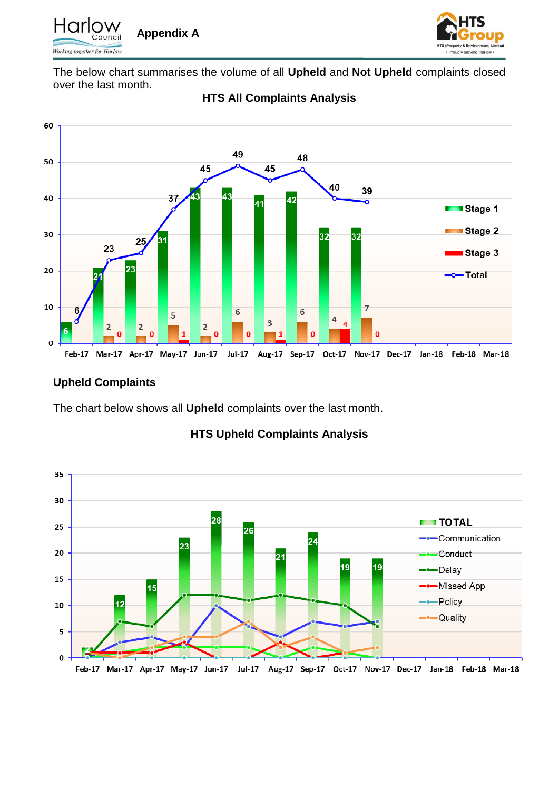



The below chart summarises the volume of all **Upheld** and **Not Upheld** complaints closed over the last month.



# **HTS All Complaints Analysis**

# **Upheld Complaints**

The chart below shows all **Upheld** complaints over the last month.



# **HTS Upheld Complaints Analysis**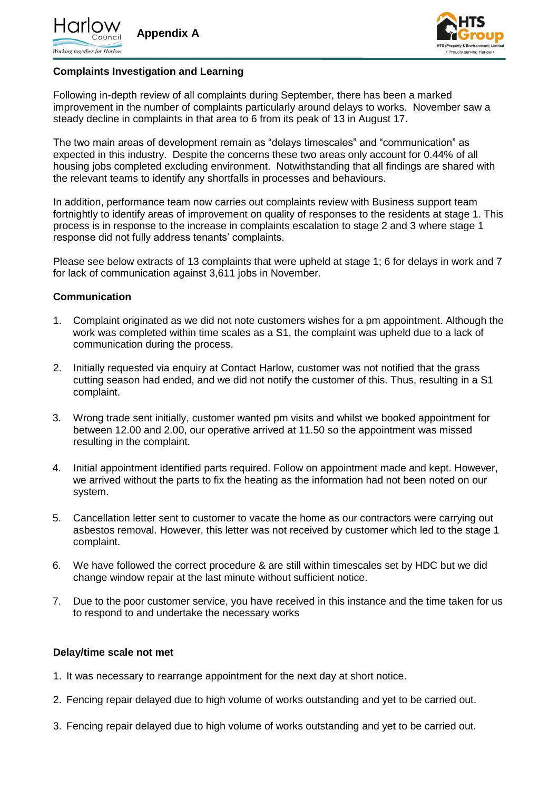



### **Complaints Investigation and Learning**

Following in-depth review of all complaints during September, there has been a marked improvement in the number of complaints particularly around delays to works. November saw a steady decline in complaints in that area to 6 from its peak of 13 in August 17.

The two main areas of development remain as "delays timescales" and "communication" as expected in this industry. Despite the concerns these two areas only account for 0.44% of all housing jobs completed excluding environment. Notwithstanding that all findings are shared with the relevant teams to identify any shortfalls in processes and behaviours.

In addition, performance team now carries out complaints review with Business support team fortnightly to identify areas of improvement on quality of responses to the residents at stage 1. This process is in response to the increase in complaints escalation to stage 2 and 3 where stage 1 response did not fully address tenants' complaints.

Please see below extracts of 13 complaints that were upheld at stage 1; 6 for delays in work and 7 for lack of communication against 3,611 jobs in November.

#### **Communication**

- 1. Complaint originated as we did not note customers wishes for a pm appointment. Although the work was completed within time scales as a S1, the complaint was upheld due to a lack of communication during the process.
- 2. Initially requested via enquiry at Contact Harlow, customer was not notified that the grass cutting season had ended, and we did not notify the customer of this. Thus, resulting in a S1 complaint.
- 3. Wrong trade sent initially, customer wanted pm visits and whilst we booked appointment for between 12.00 and 2.00, our operative arrived at 11.50 so the appointment was missed resulting in the complaint.
- 4. Initial appointment identified parts required. Follow on appointment made and kept. However, we arrived without the parts to fix the heating as the information had not been noted on our system.
- 5. Cancellation letter sent to customer to vacate the home as our contractors were carrying out asbestos removal. However, this letter was not received by customer which led to the stage 1 complaint.
- 6. We have followed the correct procedure & are still within timescales set by HDC but we did change window repair at the last minute without sufficient notice.
- 7. Due to the poor customer service, you have received in this instance and the time taken for us to respond to and undertake the necessary works

#### **Delay/time scale not met**

- 1. It was necessary to rearrange appointment for the next day at short notice.
- 2. Fencing repair delayed due to high volume of works outstanding and yet to be carried out.
- 3. Fencing repair delayed due to high volume of works outstanding and yet to be carried out.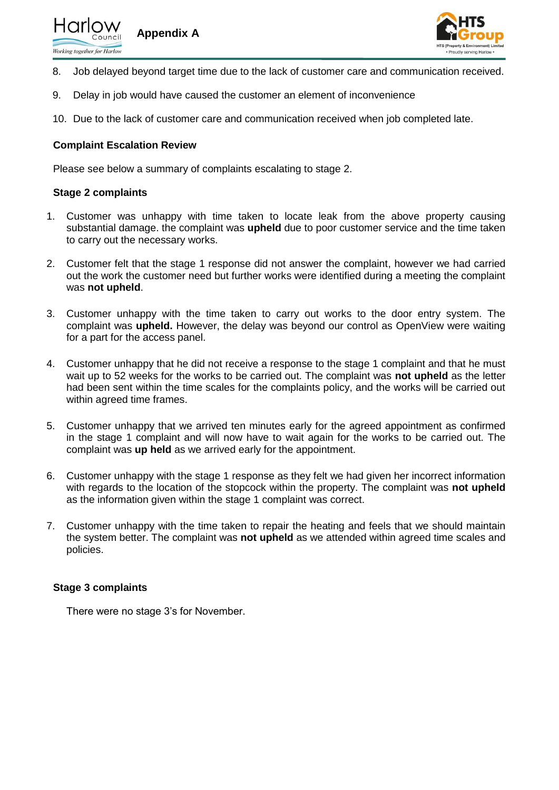



- 8. Job delayed beyond target time due to the lack of customer care and communication received.
- 9. Delay in job would have caused the customer an element of inconvenience
- 10. Due to the lack of customer care and communication received when job completed late.

#### **Complaint Escalation Review**

Please see below a summary of complaints escalating to stage 2.

#### **Stage 2 complaints**

- 1. Customer was unhappy with time taken to locate leak from the above property causing substantial damage. the complaint was **upheld** due to poor customer service and the time taken to carry out the necessary works.
- 2. Customer felt that the stage 1 response did not answer the complaint, however we had carried out the work the customer need but further works were identified during a meeting the complaint was **not upheld**.
- 3. Customer unhappy with the time taken to carry out works to the door entry system. The complaint was **upheld.** However, the delay was beyond our control as OpenView were waiting for a part for the access panel.
- 4. Customer unhappy that he did not receive a response to the stage 1 complaint and that he must wait up to 52 weeks for the works to be carried out. The complaint was **not upheld** as the letter had been sent within the time scales for the complaints policy, and the works will be carried out within agreed time frames.
- 5. Customer unhappy that we arrived ten minutes early for the agreed appointment as confirmed in the stage 1 complaint and will now have to wait again for the works to be carried out. The complaint was **up held** as we arrived early for the appointment.
- 6. Customer unhappy with the stage 1 response as they felt we had given her incorrect information with regards to the location of the stopcock within the property. The complaint was **not upheld** as the information given within the stage 1 complaint was correct.
- 7. Customer unhappy with the time taken to repair the heating and feels that we should maintain the system better. The complaint was **not upheld** as we attended within agreed time scales and policies.

#### **Stage 3 complaints**

There were no stage 3's for November.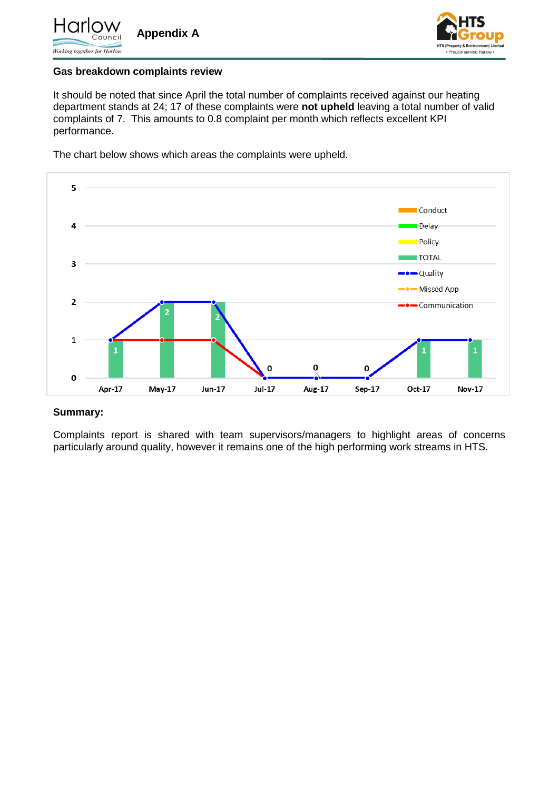



#### **Gas breakdown complaints review**

It should be noted that since April the total number of complaints received against our heating department stands at 24; 17 of these complaints were **not upheld** leaving a total number of valid complaints of 7. This amounts to 0.8 complaint per month which reflects excellent KPI performance.

The chart below shows which areas the complaints were upheld.



#### **Summary:**

Complaints report is shared with team supervisors/managers to highlight areas of concerns particularly around quality, however it remains one of the high performing work streams in HTS.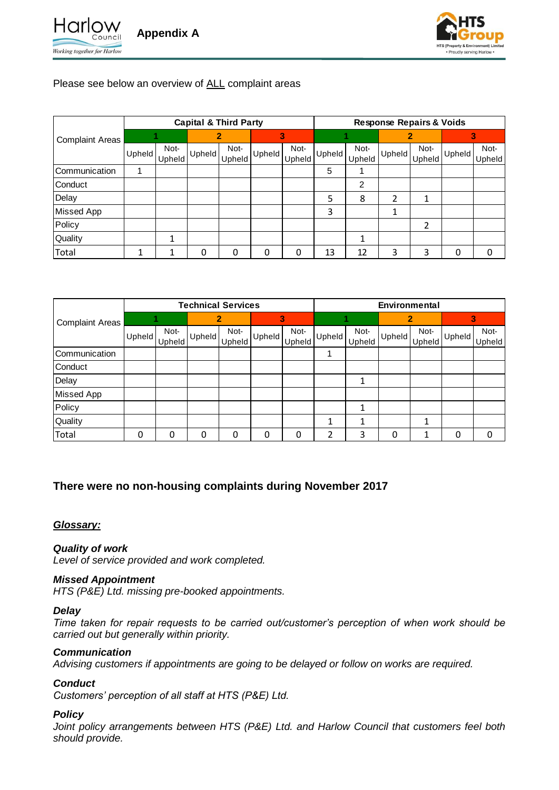



## Please see below an overview of ALL complaint areas

|                        |               |        | <b>Capital &amp; Third Party</b> |        |               |        |               |        | <b>Response Repairs &amp; Voids</b> |        |        |               |
|------------------------|---------------|--------|----------------------------------|--------|---------------|--------|---------------|--------|-------------------------------------|--------|--------|---------------|
| <b>Complaint Areas</b> |               |        |                                  | 2      |               | З.     |               |        |                                     |        |        |               |
|                        | <b>Upheld</b> | Not-   | Upheld                           | Not-   | <b>Upheld</b> | Not-   | <b>Upheld</b> | Not-   | Upheld                              | Not-   | Upheld | Not-          |
|                        |               | Upheld |                                  | Upheld |               | Upheld |               | Upheld |                                     | Upheld |        | <b>Upheld</b> |
| Communication          |               |        |                                  |        |               |        | 5             |        |                                     |        |        |               |
| Conduct                |               |        |                                  |        |               |        |               | 2      |                                     |        |        |               |
| Delay                  |               |        |                                  |        |               |        | 5             | 8      | 2                                   | 1      |        |               |
| Missed App             |               |        |                                  |        |               |        | 3             |        |                                     |        |        |               |
| Policy                 |               |        |                                  |        |               |        |               |        |                                     | 2      |        |               |
| Quality                |               |        |                                  |        |               |        |               |        |                                     |        |        |               |
| Total                  |               | 1      | 0                                | 0      | 0             | 0      | 13            | 12     | 3                                   | 3      |        | 0             |

|                        |        |                |               | <b>Technical Services</b> |          |                |        |                | Environmental |                |        |                |
|------------------------|--------|----------------|---------------|---------------------------|----------|----------------|--------|----------------|---------------|----------------|--------|----------------|
| <b>Complaint Areas</b> |        |                |               |                           |          | 3              |        |                |               |                |        |                |
|                        | Upheld | Not-<br>Upheld | <b>Upheld</b> | Not-<br>Upheld            | Upheld   | Not-<br>Upheld | Upheld | Not-<br>Upheld | Upheld        | Not-<br>Upheld | Upheld | Not-<br>Upheld |
| Communication          |        |                |               |                           |          |                |        |                |               |                |        |                |
| Conduct                |        |                |               |                           |          |                |        |                |               |                |        |                |
| Delay                  |        |                |               |                           |          |                |        | 1              |               |                |        |                |
| Missed App             |        |                |               |                           |          |                |        |                |               |                |        |                |
| Policy                 |        |                |               |                           |          |                |        | 1              |               |                |        |                |
| Quality                |        |                |               |                           |          |                | 1      | 1              |               |                |        |                |
| Total                  | 0      | 0              | 0             | 0                         | $\Omega$ | 0              | っ      | 3              | 0             |                |        | 0              |

# **There were no non-housing complaints during November 2017**

## *Glossary:*

#### *Quality of work*

*Level of service provided and work completed.*

#### *Missed Appointment*

*HTS (P&E) Ltd. missing pre-booked appointments.*

#### *Delay*

*Time taken for repair requests to be carried out/customer's perception of when work should be carried out but generally within priority.*

#### *Communication*

*Advising customers if appointments are going to be delayed or follow on works are required.*

## *Conduct*

*Customers' perception of all staff at HTS (P&E) Ltd.*

## *Policy*

*Joint policy arrangements between HTS (P&E) Ltd. and Harlow Council that customers feel both should provide.*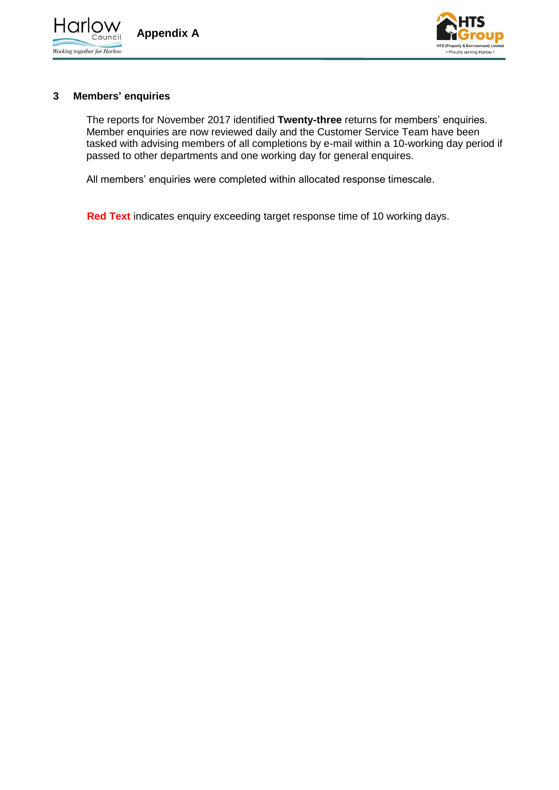



### **3 Members' enquiries**

The reports for November 2017 identified **Twenty-three** returns for members' enquiries. Member enquiries are now reviewed daily and the Customer Service Team have been tasked with advising members of all completions by e-mail within a 10-working day period if passed to other departments and one working day for general enquires.

All members' enquiries were completed within allocated response timescale.

**Red Text** indicates enquiry exceeding target response time of 10 working days.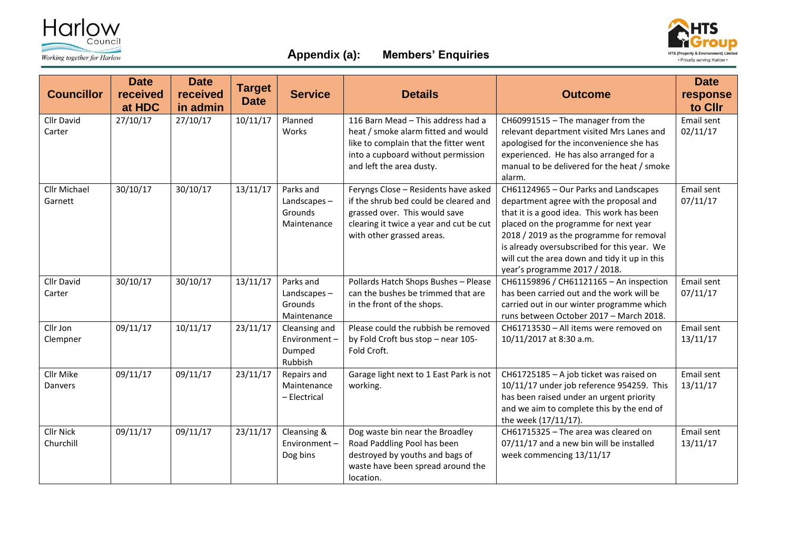



# **Appendix (a): Members' Enquiries**

| <b>Councillor</b>              | <b>Date</b><br>received<br>at HDC | <b>Date</b><br>received<br>in admin | <b>Target</b><br><b>Date</b> | <b>Service</b>                                        | <b>Details</b>                                                                                                                                                                         | <b>Outcome</b>                                                                                                                                                                                                                                                                                                                                      | <b>Date</b><br>response<br>to Cllr |
|--------------------------------|-----------------------------------|-------------------------------------|------------------------------|-------------------------------------------------------|----------------------------------------------------------------------------------------------------------------------------------------------------------------------------------------|-----------------------------------------------------------------------------------------------------------------------------------------------------------------------------------------------------------------------------------------------------------------------------------------------------------------------------------------------------|------------------------------------|
| <b>Cllr David</b><br>Carter    | 27/10/17                          | 27/10/17                            | 10/11/17                     | Planned<br>Works                                      | 116 Barn Mead - This address had a<br>heat / smoke alarm fitted and would<br>like to complain that the fitter went<br>into a cupboard without permission<br>and left the area dusty.   | CH60991515 - The manager from the<br>relevant department visited Mrs Lanes and<br>apologised for the inconvenience she has<br>experienced. He has also arranged for a<br>manual to be delivered for the heat / smoke<br>alarm.                                                                                                                      | Email sent<br>02/11/17             |
| <b>Cllr Michael</b><br>Garnett | 30/10/17                          | 30/10/17                            | 13/11/17                     | Parks and<br>Landscapes $-$<br>Grounds<br>Maintenance | Feryngs Close - Residents have asked<br>if the shrub bed could be cleared and<br>grassed over. This would save<br>clearing it twice a year and cut be cut<br>with other grassed areas. | CH61124965 - Our Parks and Landscapes<br>department agree with the proposal and<br>that it is a good idea. This work has been<br>placed on the programme for next year<br>2018 / 2019 as the programme for removal<br>is already oversubscribed for this year. We<br>will cut the area down and tidy it up in this<br>year's programme 2017 / 2018. | Email sent<br>07/11/17             |
| Cllr David<br>Carter           | 30/10/17                          | 30/10/17                            | 13/11/17                     | Parks and<br>Landscapes-<br>Grounds<br>Maintenance    | Pollards Hatch Shops Bushes - Please<br>can the bushes be trimmed that are<br>in the front of the shops.                                                                               | CH61159896 / CH61121165 - An inspection<br>has been carried out and the work will be<br>carried out in our winter programme which<br>runs between October 2017 - March 2018.                                                                                                                                                                        | Email sent<br>07/11/17             |
| Cllr Jon<br>Clempner           | 09/11/17                          | 10/11/17                            | 23/11/17                     | Cleansing and<br>Environment-<br>Dumped<br>Rubbish    | Please could the rubbish be removed<br>by Fold Croft bus stop - near 105-<br>Fold Croft.                                                                                               | CH61713530 - All items were removed on<br>10/11/2017 at 8:30 a.m.                                                                                                                                                                                                                                                                                   | Email sent<br>13/11/17             |
| <b>Cllr Mike</b><br>Danvers    | 09/11/17                          | 09/11/17                            | 23/11/17                     | Repairs and<br>Maintenance<br>- Electrical            | Garage light next to 1 East Park is not<br>working.                                                                                                                                    | CH61725185 - A job ticket was raised on<br>10/11/17 under job reference 954259. This<br>has been raised under an urgent priority<br>and we aim to complete this by the end of<br>the week (17/11/17).                                                                                                                                               | Email sent<br>13/11/17             |
| <b>Cllr Nick</b><br>Churchill  | 09/11/17                          | 09/11/17                            | 23/11/17                     | Cleansing &<br>Environment-<br>Dog bins               | Dog waste bin near the Broadley<br>Road Paddling Pool has been<br>destroyed by youths and bags of<br>waste have been spread around the<br>location.                                    | CH61715325 - The area was cleared on<br>07/11/17 and a new bin will be installed<br>week commencing 13/11/17                                                                                                                                                                                                                                        | Email sent<br>13/11/17             |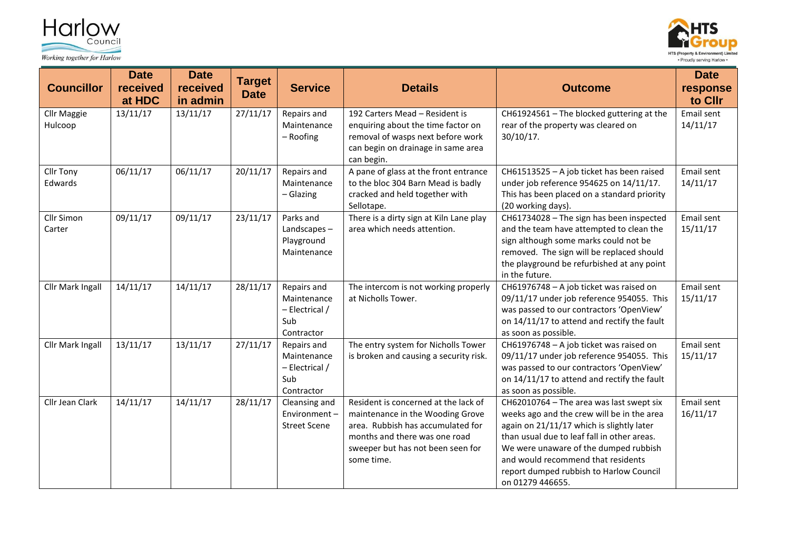



| <b>Councillor</b>             | <b>Date</b><br>received<br>at HDC | <b>Date</b><br>received<br>in admin | <b>Target</b><br><b>Date</b> | <b>Service</b>                                                      | <b>Details</b>                                                                                                                                                                                    | <b>Outcome</b>                                                                                                                                                                                                                                                                                                                   | <b>Date</b><br>response<br>to Cllr |
|-------------------------------|-----------------------------------|-------------------------------------|------------------------------|---------------------------------------------------------------------|---------------------------------------------------------------------------------------------------------------------------------------------------------------------------------------------------|----------------------------------------------------------------------------------------------------------------------------------------------------------------------------------------------------------------------------------------------------------------------------------------------------------------------------------|------------------------------------|
| <b>Cllr Maggie</b><br>Hulcoop | 13/11/17                          | 13/11/17                            | 27/11/17                     | Repairs and<br>Maintenance<br>- Roofing                             | 192 Carters Mead - Resident is<br>enquiring about the time factor on<br>removal of wasps next before work<br>can begin on drainage in same area<br>can begin.                                     | CH61924561 - The blocked guttering at the<br>rear of the property was cleared on<br>$30/10/17$ .                                                                                                                                                                                                                                 | Email sent<br>14/11/17             |
| Cllr Tony<br>Edwards          | 06/11/17                          | 06/11/17                            | 20/11/17                     | Repairs and<br>Maintenance<br>$-$ Glazing                           | A pane of glass at the front entrance<br>to the bloc 304 Barn Mead is badly<br>cracked and held together with<br>Sellotape.                                                                       | CH61513525 - A job ticket has been raised<br>under job reference 954625 on 14/11/17.<br>This has been placed on a standard priority<br>(20 working days).                                                                                                                                                                        | Email sent<br>14/11/17             |
| Cllr Simon<br>Carter          | 09/11/17                          | 09/11/17                            | 23/11/17                     | Parks and<br>Landscapes-<br>Playground<br>Maintenance               | There is a dirty sign at Kiln Lane play<br>area which needs attention.                                                                                                                            | CH61734028 - The sign has been inspected<br>and the team have attempted to clean the<br>sign although some marks could not be<br>removed. The sign will be replaced should<br>the playground be refurbished at any point<br>in the future.                                                                                       | Email sent<br>15/11/17             |
| Cllr Mark Ingall              | 14/11/17                          | 14/11/17                            | 28/11/17                     | Repairs and<br>Maintenance<br>$-$ Electrical /<br>Sub<br>Contractor | The intercom is not working properly<br>at Nicholls Tower.                                                                                                                                        | CH61976748 - A job ticket was raised on<br>09/11/17 under job reference 954055. This<br>was passed to our contractors 'OpenView'<br>on 14/11/17 to attend and rectify the fault<br>as soon as possible.                                                                                                                          | Email sent<br>15/11/17             |
| Cllr Mark Ingall              | 13/11/17                          | 13/11/17                            | 27/11/17                     | Repairs and<br>Maintenance<br>- Electrical /<br>Sub<br>Contractor   | The entry system for Nicholls Tower<br>is broken and causing a security risk.                                                                                                                     | CH61976748 - A job ticket was raised on<br>09/11/17 under job reference 954055. This<br>was passed to our contractors 'OpenView'<br>on 14/11/17 to attend and rectify the fault<br>as soon as possible.                                                                                                                          | Email sent<br>15/11/17             |
| Cllr Jean Clark               | 14/11/17                          | 14/11/17                            | 28/11/17                     | Cleansing and<br>Environment-<br><b>Street Scene</b>                | Resident is concerned at the lack of<br>maintenance in the Wooding Grove<br>area. Rubbish has accumulated for<br>months and there was one road<br>sweeper but has not been seen for<br>some time. | CH62010764 - The area was last swept six<br>weeks ago and the crew will be in the area<br>again on 21/11/17 which is slightly later<br>than usual due to leaf fall in other areas.<br>We were unaware of the dumped rubbish<br>and would recommend that residents<br>report dumped rubbish to Harlow Council<br>on 01279 446655. | Email sent<br>16/11/17             |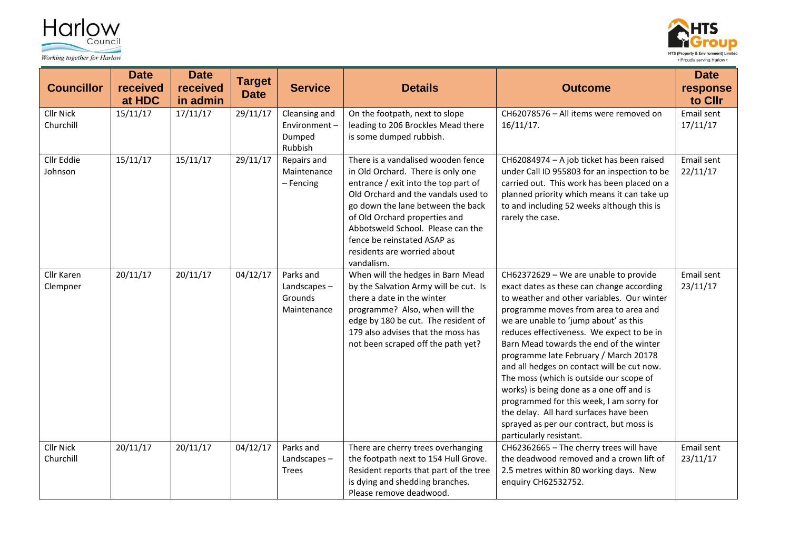



| <b>Councillor</b>             | <b>Date</b><br>received<br>at HDC | <b>Date</b><br>received<br>in admin | <b>Target</b><br><b>Date</b> | <b>Service</b>                                     | <b>Details</b>                                                                                                                                                                                                                                                                                                                                | <b>Outcome</b>                                                                                                                                                                                                                                                                                                                                                                                                                                                                                                                                                                                                                                        | <b>Date</b><br>response<br>to Cllr |
|-------------------------------|-----------------------------------|-------------------------------------|------------------------------|----------------------------------------------------|-----------------------------------------------------------------------------------------------------------------------------------------------------------------------------------------------------------------------------------------------------------------------------------------------------------------------------------------------|-------------------------------------------------------------------------------------------------------------------------------------------------------------------------------------------------------------------------------------------------------------------------------------------------------------------------------------------------------------------------------------------------------------------------------------------------------------------------------------------------------------------------------------------------------------------------------------------------------------------------------------------------------|------------------------------------|
| Cllr Nick<br>Churchill        | 15/11/17                          | 17/11/17                            | 29/11/17                     | Cleansing and<br>Environment-<br>Dumped<br>Rubbish | On the footpath, next to slope<br>leading to 206 Brockles Mead there<br>is some dumped rubbish.                                                                                                                                                                                                                                               | CH62078576 - All items were removed on<br>$16/11/17$ .                                                                                                                                                                                                                                                                                                                                                                                                                                                                                                                                                                                                | Email sent<br>17/11/17             |
| Cllr Eddie<br>Johnson         | 15/11/17                          | 15/11/17                            | 29/11/17                     | Repairs and<br>Maintenance<br>- Fencing            | There is a vandalised wooden fence<br>in Old Orchard. There is only one<br>entrance / exit into the top part of<br>Old Orchard and the vandals used to<br>go down the lane between the back<br>of Old Orchard properties and<br>Abbotsweld School. Please can the<br>fence be reinstated ASAP as<br>residents are worried about<br>vandalism. | CH62084974 - A job ticket has been raised<br>under Call ID 955803 for an inspection to be<br>carried out. This work has been placed on a<br>planned priority which means it can take up<br>to and including 52 weeks although this is<br>rarely the case.                                                                                                                                                                                                                                                                                                                                                                                             | Email sent<br>22/11/17             |
| Cllr Karen<br>Clempner        | 20/11/17                          | 20/11/17                            | 04/12/17                     | Parks and<br>Landscapes-<br>Grounds<br>Maintenance | When will the hedges in Barn Mead<br>by the Salvation Army will be cut. Is<br>there a date in the winter<br>programme? Also, when will the<br>edge by 180 be cut. The resident of<br>179 also advises that the moss has<br>not been scraped off the path yet?                                                                                 | CH62372629 - We are unable to provide<br>exact dates as these can change according<br>to weather and other variables. Our winter<br>programme moves from area to area and<br>we are unable to 'jump about' as this<br>reduces effectiveness. We expect to be in<br>Barn Mead towards the end of the winter<br>programme late February / March 20178<br>and all hedges on contact will be cut now.<br>The moss (which is outside our scope of<br>works) is being done as a one off and is<br>programmed for this week, I am sorry for<br>the delay. All hard surfaces have been<br>sprayed as per our contract, but moss is<br>particularly resistant. | Email sent<br>23/11/17             |
| <b>Cllr Nick</b><br>Churchill | 20/11/17                          | 20/11/17                            | 04/12/17                     | Parks and<br>Landscapes-<br><b>Trees</b>           | There are cherry trees overhanging<br>the footpath next to 154 Hull Grove.<br>Resident reports that part of the tree<br>is dying and shedding branches.<br>Please remove deadwood.                                                                                                                                                            | CH62362665 - The cherry trees will have<br>the deadwood removed and a crown lift of<br>2.5 metres within 80 working days. New<br>enquiry CH62532752.                                                                                                                                                                                                                                                                                                                                                                                                                                                                                                  | Email sent<br>23/11/17             |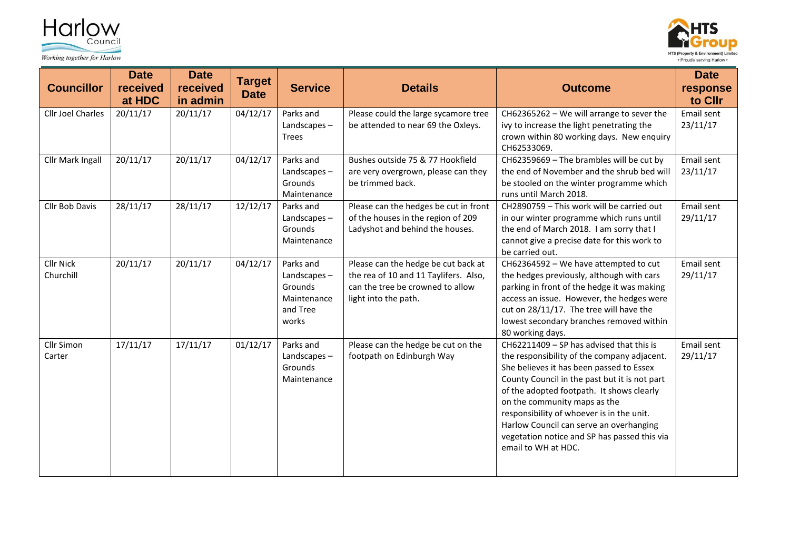



| <b>Councillor</b>             | <b>Date</b><br>received<br>at HDC | <b>Date</b><br>received<br>in admin | <b>Target</b><br><b>Date</b> | <b>Service</b>                                                             | <b>Details</b>                                                                                                                           | <b>Outcome</b>                                                                                                                                                                                                                                                                                                                                                                                                                   | <b>Date</b><br>response<br>to Cllr |
|-------------------------------|-----------------------------------|-------------------------------------|------------------------------|----------------------------------------------------------------------------|------------------------------------------------------------------------------------------------------------------------------------------|----------------------------------------------------------------------------------------------------------------------------------------------------------------------------------------------------------------------------------------------------------------------------------------------------------------------------------------------------------------------------------------------------------------------------------|------------------------------------|
| <b>Cllr Joel Charles</b>      | 20/11/17                          | 20/11/17                            | 04/12/17                     | Parks and<br>Landscapes-<br><b>Trees</b>                                   | Please could the large sycamore tree<br>be attended to near 69 the Oxleys.                                                               | CH62365262 - We will arrange to sever the<br>ivy to increase the light penetrating the<br>crown within 80 working days. New enquiry<br>CH62533069.                                                                                                                                                                                                                                                                               | Email sent<br>23/11/17             |
| Cllr Mark Ingall              | 20/11/17                          | 20/11/17                            | 04/12/17                     | Parks and<br>Landscapes-<br>Grounds<br>Maintenance                         | Bushes outside 75 & 77 Hookfield<br>are very overgrown, please can they<br>be trimmed back.                                              | CH62359669 - The brambles will be cut by<br>the end of November and the shrub bed will<br>be stooled on the winter programme which<br>runs until March 2018.                                                                                                                                                                                                                                                                     | Email sent<br>23/11/17             |
| Cllr Bob Davis                | 28/11/17                          | 28/11/17                            | 12/12/17                     | Parks and<br>Landscapes-<br>Grounds<br>Maintenance                         | Please can the hedges be cut in front<br>of the houses in the region of 209<br>Ladyshot and behind the houses.                           | CH2890759 - This work will be carried out<br>in our winter programme which runs until<br>the end of March 2018. I am sorry that I<br>cannot give a precise date for this work to<br>be carried out.                                                                                                                                                                                                                              | Email sent<br>29/11/17             |
| <b>Cllr Nick</b><br>Churchill | 20/11/17                          | 20/11/17                            | 04/12/17                     | Parks and<br>Landscapes $-$<br>Grounds<br>Maintenance<br>and Tree<br>works | Please can the hedge be cut back at<br>the rea of 10 and 11 Taylifers. Also,<br>can the tree be crowned to allow<br>light into the path. | CH62364592 - We have attempted to cut<br>the hedges previously, although with cars<br>parking in front of the hedge it was making<br>access an issue. However, the hedges were<br>cut on 28/11/17. The tree will have the<br>lowest secondary branches removed within<br>80 working days.                                                                                                                                        | Email sent<br>29/11/17             |
| Cllr Simon<br>Carter          | 17/11/17                          | 17/11/17                            | 01/12/17                     | Parks and<br>Landscapes $-$<br>Grounds<br>Maintenance                      | Please can the hedge be cut on the<br>footpath on Edinburgh Way                                                                          | CH62211409 - SP has advised that this is<br>the responsibility of the company adjacent.<br>She believes it has been passed to Essex<br>County Council in the past but it is not part<br>of the adopted footpath. It shows clearly<br>on the community maps as the<br>responsibility of whoever is in the unit.<br>Harlow Council can serve an overhanging<br>vegetation notice and SP has passed this via<br>email to WH at HDC. | Email sent<br>29/11/17             |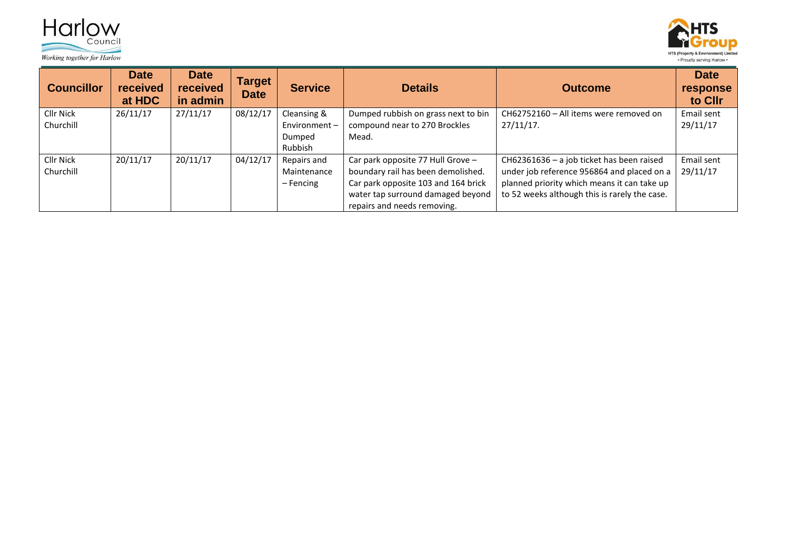



| <b>Councillor</b>      | <b>Date</b><br>received<br>at HDC | <b>Date</b><br>received<br>in admin | Target<br><b>Date</b> | <b>Service</b>              | <b>Details</b>                                                       | <b>Outcome</b>                                         | <b>Date</b><br>response<br>to Cllr |
|------------------------|-----------------------------------|-------------------------------------|-----------------------|-----------------------------|----------------------------------------------------------------------|--------------------------------------------------------|------------------------------------|
| Cllr Nick<br>Churchill | 26/11/17                          | 27/11/17                            | 08/12/17              | Cleansing &<br>Environment- | Dumped rubbish on grass next to bin<br>compound near to 270 Brockles | CH62752160 - All items were removed on<br>$27/11/17$ . | Email sent<br>29/11/17             |
|                        |                                   |                                     |                       | Dumped<br><b>Rubbish</b>    | Mead.                                                                |                                                        |                                    |
| Cllr Nick              | 20/11/17                          | 20/11/17                            | 04/12/17              | Repairs and                 | Car park opposite 77 Hull Grove -                                    | CH62361636 - a job ticket has been raised              | Email sent                         |
| Churchill              |                                   |                                     |                       | Maintenance                 | boundary rail has been demolished.                                   | under job reference 956864 and placed on a             | 29/11/17                           |
|                        |                                   |                                     |                       | $-$ Fencing                 | Car park opposite 103 and 164 brick                                  | planned priority which means it can take up            |                                    |
|                        |                                   |                                     |                       |                             | water tap surround damaged beyond                                    | to 52 weeks although this is rarely the case.          |                                    |
|                        |                                   |                                     |                       |                             | repairs and needs removing.                                          |                                                        |                                    |